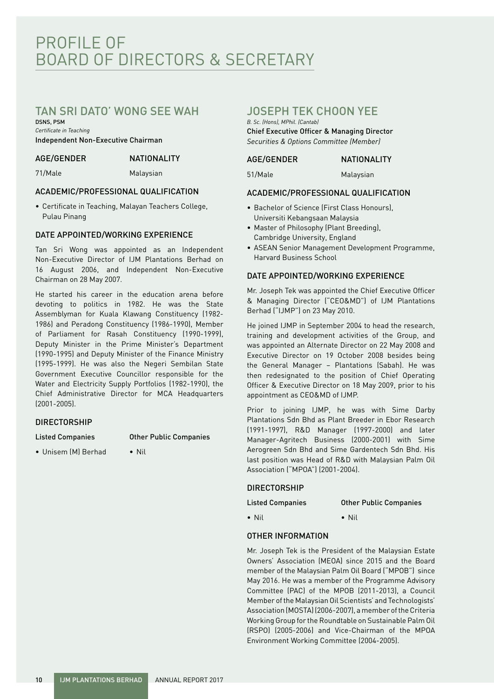# PROFILE OF BOARD OF DIRECTORS & SECRETARY

## TAN SRI DATO' WONG SEE WAH

DSNS, PSM *Certificate in Teaching* Independent Non-Executive Chairman

#### AGE/GENDER NATIONALITY

71/Male Malaysian

### ACADEMIC/PROFESSIONAL QUALIFICATION

• Certificate in Teaching, Malayan Teachers College, Pulau Pinang

### DATE APPOINTED/WORKING EXPERIENCE

Tan Sri Wong was appointed as an Independent Non-Executive Director of IJM Plantations Berhad on 16 August 2006, and Independent Non-Executive Chairman on 28 May 2007.

He started his career in the education arena before devoting to politics in 1982. He was the State Assemblyman for Kuala Klawang Constituency (1982- 1986) and Peradong Constituency (1986-1990), Member of Parliament for Rasah Constituency (1990-1999), Deputy Minister in the Prime Minister's Department (1990-1995) and Deputy Minister of the Finance Ministry (1995-1999). He was also the Negeri Sembilan State Government Executive Councillor responsible for the Water and Electricity Supply Portfolios (1982-1990), the Chief Administrative Director for MCA Headquarters (2001-2005).

### **DIRECTORSHIP**

#### Listed Companies Other Public Companies

• Unisem (M) Berhad • Nil

## JOSEPH TEK CHOON YEE

*B. Sc. (Hons), MPhil. (Cantab)* Chief Executive Officer & Managing Director *Securities & Options Committee (Member)*

#### AGE/GENDER NATIONALITY

51/Male Malaysian

#### ACADEMIC/PROFESSIONAL QUALIFICATION

- Bachelor of Science (First Class Honours), Universiti Kebangsaan Malaysia
- Master of Philosophy (Plant Breeding), Cambridge University, England
- ASEAN Senior Management Development Programme, Harvard Business School

### DATE APPOINTED/WORKING EXPERIENCE

Mr. Joseph Tek was appointed the Chief Executive Officer & Managing Director ("CEO&MD") of IJM Plantations Berhad ("IJMP") on 23 May 2010.

He joined IJMP in September 2004 to head the research, training and development activities of the Group, and was appointed an Alternate Director on 22 May 2008 and Executive Director on 19 October 2008 besides being the General Manager – Plantations (Sabah). He was then redesignated to the position of Chief Operating Officer & Executive Director on 18 May 2009, prior to his appointment as CEO&MD of IJMP.

Prior to joining IJMP, he was with Sime Darby Plantations Sdn Bhd as Plant Breeder in Ebor Research (1991-1997), R&D Manager (1997-2000) and later Manager-Agritech Business (2000-2001) with Sime Aerogreen Sdn Bhd and Sime Gardentech Sdn Bhd. His last position was Head of R&D with Malaysian Palm Oil Association ("MPOA") (2001-2004).

### DIRECTORSHIP

Listed Companies Other Public Companies

• Nil • Nil

## OTHER INFORMATION

Mr. Joseph Tek is the President of the Malaysian Estate Owners' Association (MEOA) since 2015 and the Board member of the Malaysian Palm Oil Board ("MPOB") since May 2016. He was a member of the Programme Advisory Committee (PAC) of the MPOB (2011-2013), a Council Member of the Malaysian Oil Scientists' and Technologists' Association (MOSTA) (2006-2007), a member of the Criteria Working Group for the Roundtable on Sustainable Palm Oil (RSPO) (2005-2006) and Vice-Chairman of the MPOA Environment Working Committee (2004-2005).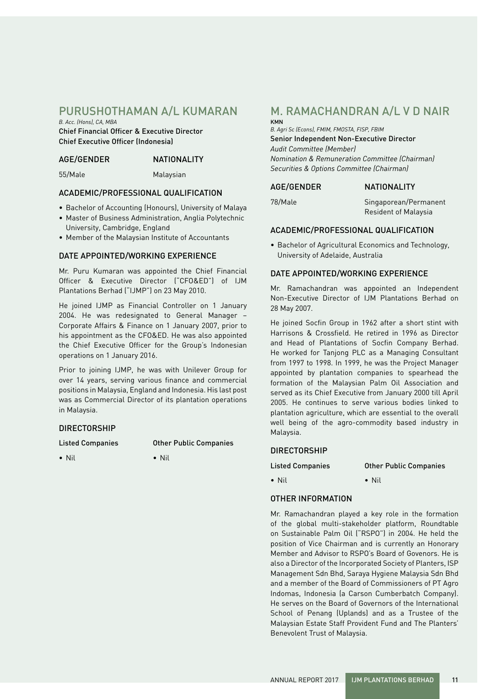## PURUSHOTHAMAN A/L KUMARAN

*B. Acc. (Hons), CA, MBA* Chief Financial Officer & Executive Director

Chief Executive Officer (Indonesia)

### AGE/GENDER NATIONALITY

55/Male Malaysian

#### ACADEMIC/PROFESSIONAL QUALIFICATION

- Bachelor of Accounting (Honours), University of Malaya
- Master of Business Administration, Anglia Polytechnic University, Cambridge, England
- Member of the Malaysian Institute of Accountants

#### DATE APPOINTED/WORKING EXPERIENCE

Mr. Puru Kumaran was appointed the Chief Financial Officer & Executive Director ("CFO&ED") of IJM Plantations Berhad ("IJMP") on 23 May 2010.

He joined IJMP as Financial Controller on 1 January 2004. He was redesignated to General Manager – Corporate Affairs & Finance on 1 January 2007, prior to his appointment as the CFO&ED. He was also appointed the Chief Executive Officer for the Group's Indonesian operations on 1 January 2016.

Prior to joining IJMP, he was with Unilever Group for over 14 years, serving various finance and commercial positions in Malaysia, England and Indonesia. His last post was as Commercial Director of its plantation operations in Malaysia.

#### DIRECTORSHIP

Listed Companies Other Public Companies

• Nil • Nil

DIRECTORSHIP

#### Listed Companies Other Public Companies

• Nil • Nil

#### OTHER INFORMATION

Mr. Ramachandran played a key role in the formation of the global multi-stakeholder platform, Roundtable on Sustainable Palm Oil ("RSPO") in 2004. He held the position of Vice Chairman and is currently an Honorary Member and Advisor to RSPO's Board of Govenors. He is also a Director of the Incorporated Society of Planters, ISP Management Sdn Bhd, Saraya Hygiene Malaysia Sdn Bhd and a member of the Board of Commissioners of PT Agro Indomas, Indonesia (a Carson Cumberbatch Company). He serves on the Board of Governors of the International School of Penang (Uplands) and as a Trustee of the Malaysian Estate Staff Provident Fund and The Planters' Benevolent Trust of Malaysia.

## M. RAMACHANDRAN A/L V D NAIR KMN

*B. Agri Sc (Econs), FMIM, FMOSTA, FISP, FBIM* Senior Independent Non-Executive Director *Audit Committee (Member) Nomination & Remuneration Committee (Chairman) Securities & Options Committee (Chairman)*

#### AGE/GENDER NATIONALITY

78/Male Singaporean/Permanent Resident of Malaysia

#### ACADEMIC/PROFESSIONAL QUALIFICATION

• Bachelor of Agricultural Economics and Technology, University of Adelaide, Australia

#### DATE APPOINTED/WORKING EXPERIENCE

Mr. Ramachandran was appointed an Independent Non-Executive Director of IJM Plantations Berhad on 28 May 2007.

He joined Socfin Group in 1962 after a short stint with Harrisons & Crossfield. He retired in 1996 as Director and Head of Plantations of Socfin Company Berhad. He worked for Tanjong PLC as a Managing Consultant from 1997 to 1998. In 1999, he was the Project Manager appointed by plantation companies to spearhead the formation of the Malaysian Palm Oil Association and served as its Chief Executive from January 2000 till April 2005. He continues to serve various bodies linked to plantation agriculture, which are essential to the overall well being of the agro-commodity based industry in Malaysia.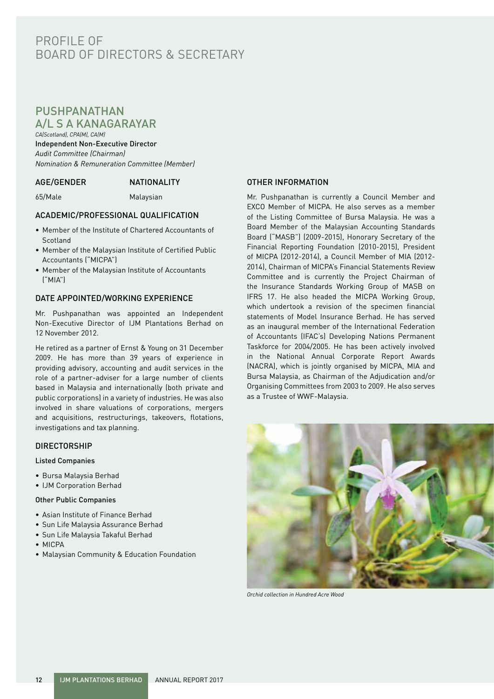## PROFILE OF BOARD OF DIRECTORS & SECRETARY

## PUSHPANATHAN A/L S A KANAGARAYAR

*CA(Scotland), CPA(M), CA(M)* Independent Non-Executive Director *Audit Committee (Chairman) Nomination & Remuneration Committee (Member)*

#### AGE/GENDER NATIONALITY

65/Male Malaysian

### ACADEMIC/PROFESSIONAL QUALIFICATION

- Member of the Institute of Chartered Accountants of **Scotland**
- Member of the Malaysian Institute of Certified Public Accountants ("MICPA")
- Member of the Malaysian Institute of Accountants ("MIA")

#### DATE APPOINTED/WORKING EXPERIENCE

Mr. Pushpanathan was appointed an Independent Non-Executive Director of IJM Plantations Berhad on 12 November 2012.

He retired as a partner of Ernst & Young on 31 December 2009. He has more than 39 years of experience in providing advisory, accounting and audit services in the role of a partner-adviser for a large number of clients based in Malaysia and internationally (both private and public corporations) in a variety of industries. He was also involved in share valuations of corporations, mergers and acquisitions, restructurings, takeovers, flotations, investigations and tax planning.

#### **DIRECTORSHIP**

#### Listed Companies

- Bursa Malaysia Berhad
- IJM Corporation Berhad

#### Other Public Companies

- Asian Institute of Finance Berhad
- Sun Life Malaysia Assurance Berhad
- Sun Life Malaysia Takaful Berhad
- MICPA
- Malaysian Community & Education Foundation

#### OTHER INFORMATION

Mr. Pushpanathan is currently a Council Member and EXCO Member of MICPA. He also serves as a member of the Listing Committee of Bursa Malaysia. He was a Board Member of the Malaysian Accounting Standards Board ("MASB") (2009-2015), Honorary Secretary of the Financial Reporting Foundation (2010-2015), President of MICPA (2012-2014), a Council Member of MIA (2012- 2014), Chairman of MICPA's Financial Statements Review Committee and is currently the Project Chairman of the Insurance Standards Working Group of MASB on IFRS 17. He also headed the MICPA Working Group, which undertook a revision of the specimen financial statements of Model Insurance Berhad. He has served as an inaugural member of the International Federation of Accountants (IFAC's) Developing Nations Permanent Taskforce for 2004/2005. He has been actively involved in the National Annual Corporate Report Awards (NACRA), which is jointly organised by MICPA, MIA and Bursa Malaysia, as Chairman of the Adjudication and/or Organising Committees from 2003 to 2009. He also serves as a Trustee of WWF-Malaysia.



*Orchid collection in Hundred Acre Wood*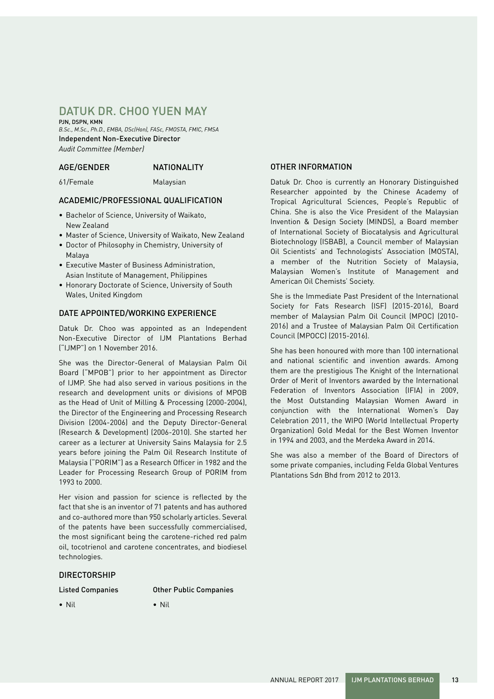## DATUK DR. CHOO YUEN MAY

PJN, DSPN, KMN *B.Sc., M.Sc., Ph.D., EMBA, DSc(Hon), FASc, FMOSTA, FMIC, FMSA* Independent Non-Executive Director *Audit Committee (Member)*

#### AGE/GENDER NATIONALITY

61/Female Malaysian

#### ACADEMIC/PROFESSIONAL QUALIFICATION

- Bachelor of Science, University of Waikato, New Zealand
- Master of Science, University of Waikato, New Zealand
- Doctor of Philosophy in Chemistry, University of Malaya
- Executive Master of Business Administration, Asian Institute of Management, Philippines
- Honorary Doctorate of Science, University of South Wales, United Kingdom

#### DATE APPOINTED/WORKING EXPERIENCE

Datuk Dr. Choo was appointed as an Independent Non-Executive Director of IJM Plantations Berhad ("IJMP") on 1 November 2016.

She was the Director-General of Malaysian Palm Oil Board ("MPOB") prior to her appointment as Director of IJMP. She had also served in various positions in the research and development units or divisions of MPOB as the Head of Unit of Milling & Processing (2000-2004), the Director of the Engineering and Processing Research Division (2004-2006) and the Deputy Director-General (Research & Development) (2006-2010). She started her career as a lecturer at University Sains Malaysia for 2.5 years before joining the Palm Oil Research Institute of Malaysia ("PORIM") as a Research Officer in 1982 and the Leader for Processing Research Group of PORIM from 1993 to 2000.

Her vision and passion for science is reflected by the fact that she is an inventor of 71 patents and has authored and co-authored more than 950 scholarly articles. Several of the patents have been successfully commercialised, the most significant being the carotene-riched red palm oil, tocotrienol and carotene concentrates, and biodiesel technologies.

#### DIRECTORSHIP

Listed Companies Other Public Companies

• Nil • Nil

#### OTHER INFORMATION

Datuk Dr. Choo is currently an Honorary Distinguished Researcher appointed by the Chinese Academy of Tropical Agricultural Sciences, People's Republic of China. She is also the Vice President of the Malaysian Invention & Design Society (MINDS), a Board member of International Society of Biocatalysis and Agricultural Biotechnology (ISBAB), a Council member of Malaysian Oil Scientists' and Technologists' Association (MOSTA), a member of the Nutrition Society of Malaysia, Malaysian Women's Institute of Management and American Oil Chemists' Society.

She is the Immediate Past President of the International Society for Fats Research (ISF) (2015-2016), Board member of Malaysian Palm Oil Council (MPOC) (2010- 2016) and a Trustee of Malaysian Palm Oil Certification Council (MPOCC) (2015-2016).

She has been honoured with more than 100 international and national scientific and invention awards. Among them are the prestigious The Knight of the International Order of Merit of Inventors awarded by the International Federation of Inventors Association (IFIA) in 2009, the Most Outstanding Malaysian Women Award in conjunction with the International Women's Day Celebration 2011, the WIPO (World Intellectual Property Organization) Gold Medal for the Best Women Inventor in 1994 and 2003, and the Merdeka Award in 2014.

She was also a member of the Board of Directors of some private companies, including Felda Global Ventures Plantations Sdn Bhd from 2012 to 2013.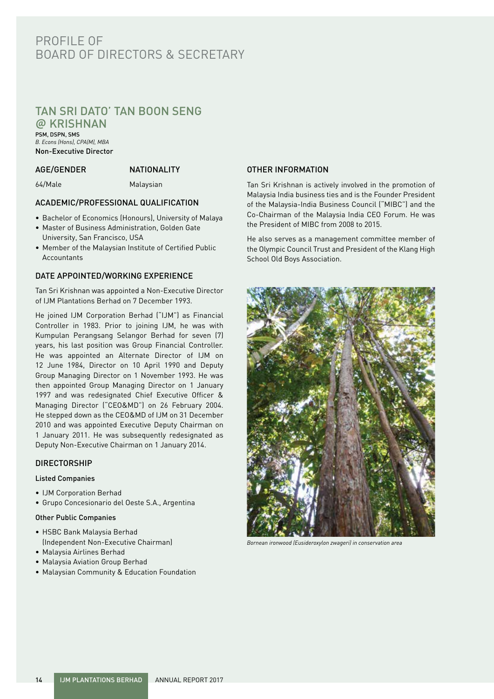## PROFILE OF BOARD OF DIRECTORS & SECRETARY

## TAN SRI DATO' TAN BOON SENG

**@** KRISHNAN PSM, DSPN, SMS *B. Econs (Hons), CPA(M), MBA*

Non-Executive Director

### AGE/GENDER NATIONALITY

64/Male Malaysian

### ACADEMIC/PROFESSIONAL QUALIFICATION

- Bachelor of Economics (Honours), University of Malaya
- Master of Business Administration, Golden Gate University, San Francisco, USA
- Member of the Malaysian Institute of Certified Public Accountants

### DATE APPOINTED/WORKING EXPERIENCE

Tan Sri Krishnan was appointed a Non-Executive Director of IJM Plantations Berhad on 7 December 1993.

He joined IJM Corporation Berhad ("IJM") as Financial Controller in 1983. Prior to joining IJM, he was with Kumpulan Perangsang Selangor Berhad for seven (7) years, his last position was Group Financial Controller. He was appointed an Alternate Director of IJM on 12 June 1984, Director on 10 April 1990 and Deputy Group Managing Director on 1 November 1993. He was then appointed Group Managing Director on 1 January 1997 and was redesignated Chief Executive Officer & Managing Director ("CEO&MD") on 26 February 2004. He stepped down as the CEO&MD of IJM on 31 December 2010 and was appointed Executive Deputy Chairman on 1 January 2011. He was subsequently redesignated as Deputy Non-Executive Chairman on 1 January 2014.

### **DIRECTORSHIP**

#### Listed Companies

- IJM Corporation Berhad
- Grupo Concesionario del Oeste S.A., Argentina

#### Other Public Companies

- HSBC Bank Malaysia Berhad (Independent Non-Executive Chairman)
- Malaysia Airlines Berhad
- Malaysia Aviation Group Berhad
- Malaysian Community & Education Foundation

### OTHER INFORMATION

Tan Sri Krishnan is actively involved in the promotion of Malaysia India business ties and is the Founder President of the Malaysia-India Business Council ("MIBC") and the Co-Chairman of the Malaysia India CEO Forum. He was the President of MIBC from 2008 to 2015.

He also serves as a management committee member of the Olympic Council Trust and President of the Klang High School Old Boys Association.



*Bornean ironwood (Eusideroxylon zwageri) in conservation area*